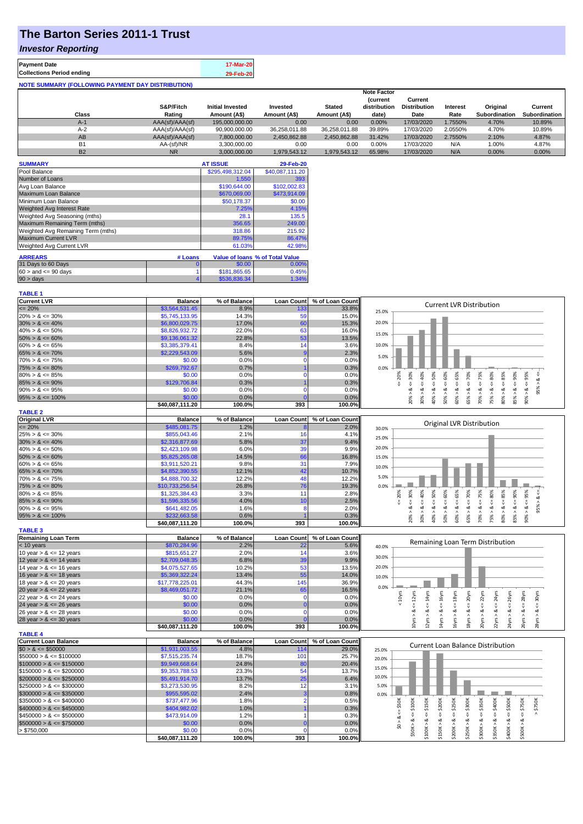## **The Barton Series 2011-1 Trust**

### *Investor Reporting*

| <b>Payment Date</b>                               | 17-Mar-20 |
|---------------------------------------------------|-----------|
| <b>Collections Period ending</b>                  | 29-Feb-20 |
| NOTE SUMMARY (FOLLOWING PAYMENT DAY DISTRIBUTION) |           |

|           |                 |                         |               |               | <b>Note Factor</b> |                     |                 |               |               |
|-----------|-----------------|-------------------------|---------------|---------------|--------------------|---------------------|-----------------|---------------|---------------|
|           |                 |                         |               |               | <b>Current</b>     | Current             |                 |               |               |
|           | S&P/Fitch       | <b>Initial Invested</b> | Invested      | <b>Stated</b> | distribution       | <b>Distribution</b> | <b>Interest</b> | Original      | Current       |
| Class     | Rating          | Amount (A\$)            | Amount (A\$)  | Amount (A\$)  | date)              | Date                | Rate            | Subordination | Subordination |
| $A-1$     | AAA(sf)/AAA(sf) | 195,000,000,00          | 0.00          | 0.00          | 0.00%              | 17/03/2020          | 1.7550%         | 4.70%         | 10.89%        |
| $A-2$     | AAA(sf)/AAA(sf) | 90,900,000.00           | 36.258.011.88 | 36.258.011.88 | 39.89%             | 17/03/2020          | 2.0550%         | 4.70%         | 10.89%        |
| AB        | AAA(sf)/AAA(sf) | 7.800.000.00            | 2.450.862.88  | 2.450.862.88  | 31.42%             | 17/03/2020          | 2.7550%         | 2.10%         | 4.87%         |
| <b>B1</b> | AA-(sf)/NR      | 3.300.000.00            | 0.00          | 0.00          | 0.00%              | 17/03/2020          | N/A             | 1.00%         | 4.87%         |
| <b>B2</b> | <b>NR</b>       | 3.000.000.00            | 1.979.543.12  | 1.979.543.12  | 65.98%             | 17/03/2020          | N/A             | 0.00%         | 0.00%         |

| <b>SUMMARY</b>                     |         | <b>AT ISSUE</b>  | 29-Feb-20                       |
|------------------------------------|---------|------------------|---------------------------------|
| Pool Balance                       |         | \$295,498,312.04 | \$40,087,111.20                 |
| Number of Loans                    |         | 1,550            | 393                             |
| Avg Loan Balance                   |         | \$190,644.00     | \$102,002.83                    |
| Maximum Loan Balance               |         | \$670,069.00     | \$473,914.09                    |
| Minimum Loan Balance               |         | \$50,178.37      | \$0.00                          |
| Weighted Avg Interest Rate         |         | 7.25%            | 4.15%                           |
| Weighted Avg Seasoning (mths)      |         | 28.1             | 135.5                           |
| Maximum Remaining Term (mths)      |         | 356.65           | 249.00                          |
| Weighted Avg Remaining Term (mths) |         | 318.86           | 215.92                          |
| <b>Maximum Current LVR</b>         |         | 89.75%           | 86.47%                          |
| Weighted Avg Current LVR           |         | 61.03%           | 42.98%                          |
| <b>ARREARS</b>                     | # Loans |                  | Value of Ioans % of Total Value |
| 31 Days to 60 Days                 | 0       | \$0.00           | 0.00%                           |
| $60 >$ and $\leq 90$ days          |         | \$181,865.65     | 0.45%                           |
| 90 > days                          |         | \$536,836.34     | 1.34%                           |

| <b>TABLE 1</b>              |                           |                |                   |                 |                                                                                                                                                                  |
|-----------------------------|---------------------------|----------------|-------------------|-----------------|------------------------------------------------------------------------------------------------------------------------------------------------------------------|
| <b>Current LVR</b>          | <b>Balance</b>            | % of Balance   | <b>Loan Count</b> | % of Loan Count |                                                                                                                                                                  |
| $= 20%$                     | \$3,564,531.45            | 8.9%           | 133               | 33.8%           | <b>Current LVR Distribution</b><br>25.0%                                                                                                                         |
| $20\% > 8 \le 30\%$         | \$5,745,133.95            | 14.3%          | 59                | 15.0%           |                                                                                                                                                                  |
| $30\% > 8 \le 40\%$         | \$6,800,029.75            | 17.0%          | 60                | 15.3%           | 20.0%                                                                                                                                                            |
| $40\% > 8 \le 50\%$         | \$8,826,932.72            | 22.0%          | 63                | 16.0%           |                                                                                                                                                                  |
| $50\% > 8 \le 60\%$         | \$9,136,061.32            | 22.8%          | 53                | 13.5%           | 15.0%                                                                                                                                                            |
| $60\% > 8 \le 65\%$         | \$3,385,379.41            | 8.4%           | 14                | 3.6%            | 10.0%                                                                                                                                                            |
| $65\% > 8 \le 70\%$         | \$2,229,543.09            | 5.6%           |                   | 2.3%            |                                                                                                                                                                  |
| $70\% > 8 \le 75\%$         | \$0.00                    | 0.0%           | n                 | 0.0%            | 5.0%                                                                                                                                                             |
| $75\% > 8 \le 80\%$         | \$269.792.67              | 0.7%           |                   | 0.3%            | 0.0%                                                                                                                                                             |
| $80\% > 8 \le 85\%$         | \$0.00                    | 0.0%           | C                 | 0.0%            |                                                                                                                                                                  |
| $85\% > 8 \le 90\%$         | \$129,706.84              | 0.3%           |                   | 0.3%            | $4 = 60\%$<br>$4 = 65\%$<br>$4 = 30\%$<br>40%<br>$\leq 50\%$<br>$4 = 70\%$<br>$4 = 75\%$<br>$<=80\%$<br>$\leq 90\%$<br>$4 = 20\%$<br>$95\% > 8 \le$              |
| $90\% > 8 \le 95\%$         | \$0.00                    | 0.0%           |                   | 0.0%            | ಷ                                                                                                                                                                |
| $95\% > 8 \le 100\%$        | \$0.00                    | 0.0%           |                   | 0.0%            | $80\% > 8 <= 85\%$<br>$90\% > 8 <= 95\%$<br>$50\% > 8.$<br>60% > 8<br>65% > 8<br>85% > 8.<br>$30\% > 8.$<br>$70\% > 8.$<br>75% > 8<br>20% > 8<br>40% >           |
|                             | \$40,087,111.20           | 100.0%         | 393               | 100.0%          |                                                                                                                                                                  |
| <b>TABLE 2</b>              |                           |                |                   |                 |                                                                                                                                                                  |
| <b>Original LVR</b>         | <b>Balance</b>            | % of Balance   | <b>Loan Count</b> | % of Loan Count |                                                                                                                                                                  |
| $= 20%$                     | \$485,081.75              | 1.2%           |                   | 2.0%            | Original LVR Distribution<br>30.0%                                                                                                                               |
| $25\% > 8 \le 30\%$         | \$855,043.46              | 2.1%           | 16                | 4.1%            |                                                                                                                                                                  |
| $30\% > 8 \le 40\%$         | \$2,316,877.69            | 5.8%           | 37                | 9.4%            | 25.0%                                                                                                                                                            |
| $40\% > 8 \le 50\%$         | \$2,423,109.98            | 6.0%           | 39                | 9.9%            | 20.0%                                                                                                                                                            |
| $50\% > 8 \le 60\%$         | \$5,825,265.08            | 14.5%          | 66                | 16.8%           | 15.0%                                                                                                                                                            |
| $60\% > 8 \le 65\%$         | \$3,911,520.21            | 9.8%           | 31                | 7.9%            |                                                                                                                                                                  |
| $65\% > 8 \le 70\%$         | \$4,852,390.55            | 12.1%          | 42                | 10.7%           | 10.0%                                                                                                                                                            |
| $70\% > 8 \le 75\%$         | \$4,888,700.32            | 12.2%          | 48                | 12.2%           | 5.0%                                                                                                                                                             |
| $75\% > 8 \le 80\%$         | \$10,733,256.54           | 26.8%          | 76                | 19.3%           | 0.0%                                                                                                                                                             |
| $80\% > 8 \le 85\%$         | \$1,325,384.43            | 3.3%           | 11                | 2.8%            | 50%<br>80%                                                                                                                                                       |
| $85\% > 8 \le 90\%$         | \$1,596,335.56            | 4.0%           | 10                | 2.5%            | $<=90\%$<br>$4 = 30\%$<br>40%<br>$<=70%$<br>$4 = 20\%$<br>$95\% > 8 <$                                                                                           |
| $90\% > 8 \le 95\%$         | \$641,482.05              | 1.6%           | ε                 | 2.0%            | V<br>ૐ<br>ż<br>ઌ                                                                                                                                                 |
| $95\% > 8 \le 100\%$        | \$232,663.58              | 0.6%           |                   | 0.3%            | $70\% > 8 <= 75\%$<br>$80\% > 8 <= 85\%$<br>$50\% > 8 <= 60\%$<br>$60\% > 8 \le 65\%$<br>$90\% > 8 <= 95\%$<br>75% > 8 <<br>20% > i<br>30% ><br>65% > 8<br>85% > |
|                             | \$40,087,111.20           | 100.0%         | 393               | 100.0%          | 40% >                                                                                                                                                            |
| <b>TABLE 3</b>              |                           |                |                   |                 |                                                                                                                                                                  |
| <b>Remaining Loan Term</b>  | <b>Balance</b>            | % of Balance   | <b>Loan Count</b> | % of Loan Count |                                                                                                                                                                  |
| < 10 years                  | \$870,284.96              | 2.2%           | 22                | 5.6%            | Remaining Loan Term Distribution<br>40.0%                                                                                                                        |
| 10 year $> 8 \le 12$ years  | \$815,651.27              | 2.0%           | 14                | 3.6%            |                                                                                                                                                                  |
| 12 year $> 8 \le 14$ years  | \$2,709,048.35            | 6.8%           | 39                | 9.9%            | 30.0%                                                                                                                                                            |
| 14 year $> 8 \le 16$ years  | \$4,075,527.65            | 10.2%          | 53                |                 | 20.0%                                                                                                                                                            |
| 16 year $> 8 \le 18$ years  |                           |                |                   |                 |                                                                                                                                                                  |
|                             |                           |                |                   | 13.5%           |                                                                                                                                                                  |
|                             | \$5,369,322.24            | 13.4%          | 55                | 14.0%           | 10.0%                                                                                                                                                            |
| 18 year $> 8 \le 20$ years  | \$17,778,225.01           | 44.3%          | 145               | 36.9%           | 0.0%                                                                                                                                                             |
| 20 year $> 8 \le 22$ years  | \$8,469,051.72            | 21.1%          | 65                | 16.5%           |                                                                                                                                                                  |
| 22 year $> 8 \le 24$ years  | \$0.00                    | 0.0%           | $\Omega$          | 0.0%            | 30yrs<br>< 10yrs<br>24yrs                                                                                                                                        |
| 24 year $> 8 \le 26$ years  | \$0.00                    | 0.0%           |                   | 0.0%            | $\leq$ 20yrs<br>$\leq 14$ yrs<br>$\Leftarrow$ 16yrs<br>$\leq 18$ yrs<br>$\Leftarrow$ 22yrs<br>$\leq$ 28yrs<br>$\Leftarrow$ 26yrs<br>Ŷ,<br>Ÿ.<br>ಷ<br>ಷ<br>ಷ<br>ઌ |
| 26 year $> 8 \le 28$ years  | \$0.00                    | 0.0%           | n                 | 0.0%            | ಷ<br>ಷ<br>ಹ                                                                                                                                                      |
| 28 year $> 8 \le 30$ years  | \$0.00                    | 0.0%           |                   | 0.0%            | $10yrs > 8 \Leftarrow 12yrs$<br>2yrs ><br>16yrs<br>$22\gamma$ rs >                                                                                               |
| <b>TABLE 4</b>              | \$40,087,111.20           | 100.0%         | 393               | 100.0%          | 20yrs > 8<br>24yrs > 8<br>$18\gamma$ rs > $\ell$<br>26yrs > 8<br>$14y$ rs ><br>28yrs                                                                             |
| <b>Current Loan Balance</b> | <b>Balance</b>            | % of Balance   | <b>Loan Count</b> | % of Loan Count |                                                                                                                                                                  |
| $$0 > 8 \le $50000$         |                           | 4.8%           | 11 <sup>2</sup>   |                 | <b>Current Loan Balance Distribution</b>                                                                                                                         |
| $$50000 > 8 \leq $100000$   | \$1,931,003.55            | 18.7%          | 101               | 29.0%<br>25.7%  | 25.0%                                                                                                                                                            |
|                             | \$7,515,235.74            |                |                   |                 | 20.0%                                                                                                                                                            |
| $$100000 > 8 \leq $150000$  | \$9,949,668.64            | 24.8%          | 80                | 20.4%           | 15.0%                                                                                                                                                            |
| $$150000 > 8 \leq $200000$  | \$9,353,788.53            | 23.3%          | 54                | 13.7%           | 10.0%                                                                                                                                                            |
| $$200000 > 8 \leq $250000$  | \$5,491,914.70            | 13.7%          | 25                | 6.4%            | 5.0%                                                                                                                                                             |
| $$250000 > 8 \leq $300000$  | \$3,273,530.95            | 8.2%           | 12                | 3.1%            |                                                                                                                                                                  |
| $$300000 > 8 \leq $350000$  | \$955,595.02              | 2.4%           |                   | 0.8%            | 0.0%                                                                                                                                                             |
| $$350000 > 8 \leq $400000$  | \$737,477.96              | 1.8%           |                   | 0.5%            |                                                                                                                                                                  |
| $$400000 > 8 \leq $450000$  | \$404,982.02              | 1.0%           |                   | 0.3%            | \$200K<br>\$150K<br>$\le$ = \$50K<br>\$750K                                                                                                                      |
| $$450000 > 8 \leq $500000$  | \$473,914.09              | 1.2%           |                   | 0.3%            | $\Leftarrow$ \$250K<br>$4 = $300K$<br>$4 = $350K$<br>$4 = $400K$<br>$4 = $500K$<br>$\Leftarrow$ \$750K<br>₩<br>₩<br>ಷ<br>ಷ                                       |
| $$500000 > 8 \leq $750000$  | \$0.00                    | 0.0%           |                   | 0.0%            | \$0 > 8                                                                                                                                                          |
| > \$750,000                 | \$0.00<br>\$40,087,111.20 | 0.0%<br>100.0% | 393               | 0.0%<br>100.0%  | $$50K > 8 \Leftarrow $100K$<br>\$200K > 8<br>\$250K > 8<br>\$100K > 8<br>\$150K > 8<br>\$300K > 8<br>\$350K > 8<br>\$400K><br>\$500K>                            |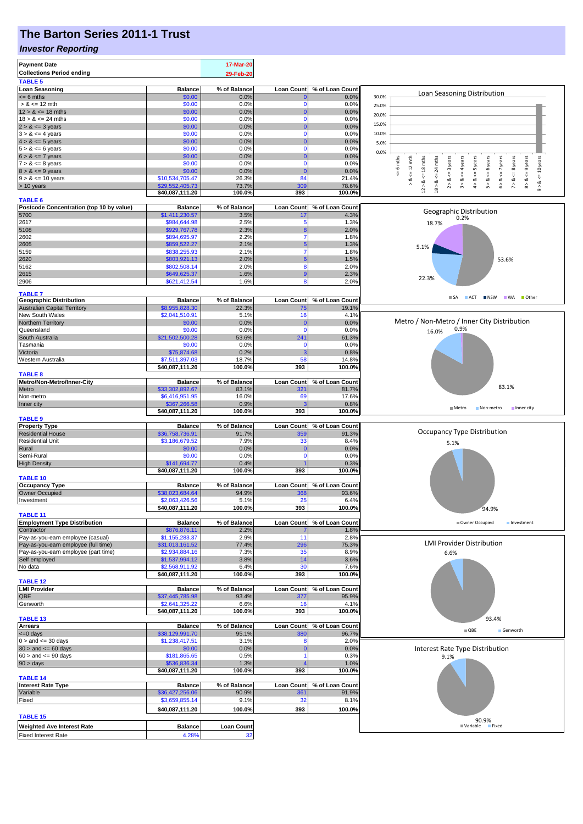# **The Barton Series 2011-1 Trust**

### *Investor Reporting*

| <b>Payment Date</b>                                                            |                                   | 17-Mar-20               |                                 |                         |                                                                                                                    |
|--------------------------------------------------------------------------------|-----------------------------------|-------------------------|---------------------------------|-------------------------|--------------------------------------------------------------------------------------------------------------------|
| <b>Collections Period ending</b>                                               |                                   | 29-Feb-20               |                                 |                         |                                                                                                                    |
| <b>TABLE 5</b>                                                                 |                                   |                         |                                 |                         |                                                                                                                    |
| <b>Loan Seasoning</b>                                                          | <b>Balance</b>                    | % of Balance            | <b>Loan Count</b>               | % of Loan Count         | Loan Seasoning Distribution                                                                                        |
| $= 6$ mths                                                                     | \$0.00                            | 0.0%                    |                                 | 0.0%                    | 30.0%                                                                                                              |
| $> 8 \le 12$ mth                                                               | \$0.00                            | 0.0%                    |                                 | 0.0%                    | 25.0%                                                                                                              |
| $12 > 8 \le 18$ mths                                                           | \$0.00                            | 0.0%                    | 0                               | 0.0%                    | 20.0%                                                                                                              |
| $18 > 8 \le 24$ mths                                                           | \$0.00                            | 0.0%                    | 0                               | 0.0%                    | 15.0%                                                                                                              |
| $2 > 8 \le 3$ years<br>$3 > 8 \le 4$ years                                     | \$0.00<br>\$0.00                  | 0.0%<br>0.0%            | n                               | 0.0%<br>0.0%            | 10.0%                                                                                                              |
| $4 > 8 \le 5$ years                                                            | \$0.00                            | 0.0%                    |                                 | 0.0%                    |                                                                                                                    |
| $5 > 8 \le 6$ years                                                            | \$0.00                            | 0.0%                    | 0                               | 0.0%                    | 5.0%                                                                                                               |
| $6 > 8 \le 7$ years                                                            | \$0.00                            | 0.0%                    |                                 | 0.0%                    | 0.0%                                                                                                               |
| $7 > 8 \le 8$ years                                                            | \$0.00                            | 0.0%                    | 0                               | 0.0%                    | 6 mths<br>mths<br>$12$ mth<br>years<br>6 years                                                                     |
| $8 > 8 \le 9$ years                                                            | \$0.00                            | 0.0%                    | C                               | 0.0%                    | $\leq$ 9 years<br>$\leq$ = 4 years<br>$\le$ 10 years<br>$\leq$ = 8 years<br>$\overline{a}$<br>$\leq$ = 3<br>V<br>V |
| $9 > 8 \le 10$ years                                                           | \$10,534,705.47                   | 26.3%                   | 84                              | 21.4%                   | $12 > 8$ <= 18 mths<br>$4 > 8 < z = 5$ years<br>$6 > 8$ <= 7 years<br>₩<br>7 > 8<br>ø<br>ಷ                         |
| > 10 years                                                                     | \$29,552,405.73                   | 73.7%                   | 30                              | 78.6%                   | 2 > 8<br>3 > 8<br>8 > 8<br>5 > 8<br>18 > 8<br>$\lambda$<br>$\hat{\circ}$                                           |
|                                                                                | \$40,087,111.20                   | 100.0%                  | 393                             | 100.0%                  |                                                                                                                    |
| <b>TABLE 6</b>                                                                 |                                   |                         |                                 |                         |                                                                                                                    |
| Postcode Concentration (top 10 by value)<br>5700                               | <b>Balance</b><br>\$1,411,230.57  | % of Balance<br>3.5%    | <b>Loan Count</b><br>17         | % of Loan Count<br>4.3% | Geographic Distribution                                                                                            |
| 2617                                                                           | \$984,644.98                      | 2.5%                    |                                 | 1.3%                    | 0.2%<br>18.7%                                                                                                      |
| 5108                                                                           | \$929,767.78                      | 2.3%                    |                                 | 2.0%                    |                                                                                                                    |
| 2602                                                                           | \$894,695.97                      | 2.2%                    |                                 | 1.8%                    |                                                                                                                    |
| 2605                                                                           | \$859,522.27                      | 2.1%                    |                                 | 1.3%                    | 5.1%                                                                                                               |
| 5159                                                                           | \$838,255.93                      | 2.1%                    |                                 | 1.8%                    |                                                                                                                    |
| 2620                                                                           | \$803,921.13                      | 2.0%                    |                                 | 1.5%                    | 53.6%                                                                                                              |
| 5162                                                                           | \$802,508.14                      | 2.0%                    | 8                               | 2.0%                    |                                                                                                                    |
| 2615                                                                           | \$649,625.37                      | 1.6%                    | g                               | 2.3%                    | 22.3%                                                                                                              |
| 2906                                                                           | \$621,412.54                      | 1.6%                    | 8                               | 2.0%                    |                                                                                                                    |
| <b>TABLE 7</b>                                                                 |                                   |                         |                                 |                         |                                                                                                                    |
| <b>Geographic Distribution</b>                                                 | <b>Balance</b>                    | % of Balance            | Loan Count                      | % of Loan Count         | SA ACT NSW WA Other                                                                                                |
| <b>Australian Capital Territory</b>                                            | \$8,955,828.30                    | 22.3%                   | 75                              | 19.1%                   |                                                                                                                    |
| New South Wales                                                                | \$2,041,510.91                    | 5.1%                    | 16                              | 4.1%                    |                                                                                                                    |
| Northern Territory                                                             | \$0.00                            | 0.0%                    | O                               | 0.0%                    | Metro / Non-Metro / Inner City Distribution<br>0.9%                                                                |
| Queensland                                                                     | \$0.00                            | 0.0%                    | 0                               | 0.0%                    | 16.0%                                                                                                              |
| South Australia                                                                | \$21,502,500.28                   | 53.6%                   | 241                             | 61.3%                   |                                                                                                                    |
| Tasmania<br>Victoria                                                           | \$0.00<br>\$75,874.68             | 0.0%<br>0.2%            | C                               | 0.0%<br>0.8%            |                                                                                                                    |
| Western Australia                                                              | \$7,511,397.03                    | 18.7%                   | 58                              | 14.8%                   |                                                                                                                    |
|                                                                                | \$40,087,111.20                   | 100.0%                  | 393                             | 100.0%                  |                                                                                                                    |
| <b>TABLE 8</b>                                                                 |                                   |                         |                                 |                         |                                                                                                                    |
| Metro/Non-Metro/Inner-City                                                     | <b>Balance</b>                    | % of Balance            | <b>Loan Count</b>               | % of Loan Count         |                                                                                                                    |
| Metro                                                                          | \$33,302,892.67                   | 83.1%                   | 321                             | 81.7%                   | 83.1%                                                                                                              |
| Non-metro                                                                      | \$6,416,951.95                    | 16.0%                   | 69                              | 17.6%                   |                                                                                                                    |
| Inner city                                                                     | \$367,266.58                      | 0.9%                    |                                 | 0.8%                    | $M$ Metro<br>Non-metro<br>Inner city                                                                               |
|                                                                                | \$40,087,111.20                   | 100.0%                  | 393                             | 100.0%                  |                                                                                                                    |
| <b>TABLE 9</b>                                                                 |                                   |                         |                                 |                         |                                                                                                                    |
| <b>Property Type</b>                                                           | <b>Balance</b>                    | % of Balance            | <b>Loan Count</b>               | % of Loan Count         | <b>Occupancy Type Distribution</b>                                                                                 |
| <b>Residential House</b>                                                       | \$36,758,736.91                   | 91.7%                   | 359                             | 91.3%                   |                                                                                                                    |
| <b>Residential Unit</b>                                                        | \$3,186,679.52<br>\$0.00          | 7.9%<br>0.0%            | 33<br>0                         | 8.4%<br>0.0%            | 5.1%                                                                                                               |
| Rural<br>Semi-Rural                                                            | \$0.00                            | 0.0%                    | O                               | 0.0%                    |                                                                                                                    |
| <b>High Density</b>                                                            | \$141,694.77                      | 0.4%                    |                                 | 0.3%                    |                                                                                                                    |
|                                                                                | \$40,087,111.20                   | 100.0%                  | 393                             | 100.0%                  |                                                                                                                    |
| <b>TABLE 10</b>                                                                |                                   |                         |                                 |                         |                                                                                                                    |
| <b>Occupancy Type</b>                                                          | <b>Balance</b>                    | % of Balance            | Loan Count                      | % of Loan Count         |                                                                                                                    |
| Owner Occupied                                                                 | \$38,023,684.64                   | 94.9%                   | 368                             | 93.6%                   |                                                                                                                    |
| Investment                                                                     | \$2,063,426.56                    | 5.1%                    |                                 |                         |                                                                                                                    |
|                                                                                |                                   |                         | 25                              | 6.4%                    |                                                                                                                    |
|                                                                                | \$40,087,111.20                   | 100.0%                  | 393                             | 100.0%                  | 94.9%                                                                                                              |
| <b>TABLE 11</b>                                                                |                                   |                         |                                 |                         |                                                                                                                    |
| <b>Employment Type Distribution</b>                                            | <b>Balance</b>                    | % of Balance            | <b>Loan Count</b>               | % of Loan Count         | Owner Occupied<br>Investment                                                                                       |
|                                                                                | \$876,876.11                      | 2.2%                    |                                 | 1.8%                    |                                                                                                                    |
| Pay-as-you-earn employee (casual)                                              | \$1,155,283.37                    | 2.9%                    | 11                              | 2.8%                    | <b>LMI Provider Distribution</b>                                                                                   |
|                                                                                | \$31,013,161.52                   | 77.4%                   | 296<br>35                       | 75.3%                   |                                                                                                                    |
| Pay-as-you-earn employee (part time)                                           | \$2,934,884.16                    | 7.3%<br>3.8%            | 14                              | 8.9%<br>3.6%            | 6.6%                                                                                                               |
| Contractor<br>Pay-as-you-earn employee (full time)<br>Self employed<br>No data | \$1,537,994.12<br>\$2,568,911.92  | 6.4%                    | 30                              | 7.6%                    |                                                                                                                    |
|                                                                                | \$40,087,111.20                   | 100.0%                  | 393                             | 100.0%                  |                                                                                                                    |
| <b>TABLE 12</b>                                                                |                                   |                         |                                 |                         |                                                                                                                    |
| <b>LMI Provider</b>                                                            | <b>Balance</b>                    | % of Balance            | <b>Loan Count</b>               | % of Loan Count         |                                                                                                                    |
| QBE                                                                            | \$37,445,785.98                   | 93.4%                   | 377                             | 95.9%                   |                                                                                                                    |
| Genworth                                                                       | \$2,641,325.22                    | 6.6%                    | 16                              | 4.1%                    |                                                                                                                    |
|                                                                                | \$40,087,111.20                   | 100.0%                  | 393                             | 100.0%                  |                                                                                                                    |
| <b>TABLE 13</b>                                                                |                                   |                         |                                 |                         | 93.4%                                                                                                              |
| <b>Arrears</b>                                                                 | <b>Balance</b>                    | % of Balance            | <b>Loan Count</b><br><b>380</b> | % of Loan Count         | $\blacksquare$ QBE<br>Genworth                                                                                     |
| $0 >$ and $\lt = 30$ days                                                      | \$38,129,991.70<br>\$1,238,417.51 | 95.1%<br>3.1%           |                                 | 96.7%<br>2.0%           |                                                                                                                    |
|                                                                                | \$0.00                            | 0.0%                    | O                               | 0.0%                    | Interest Rate Type Distribution                                                                                    |
| $60 >$ and $\leq 90$ days                                                      | \$181,865.65                      | 0.5%                    |                                 | 0.3%                    | 9.1%                                                                                                               |
| $90 > \text{days}$                                                             | \$536,836.34                      | 1.3%                    |                                 | 1.0%                    |                                                                                                                    |
|                                                                                | \$40,087,111.20                   | 100.0%                  | 393                             | 100.0%                  |                                                                                                                    |
| <b>TABLE 14</b>                                                                |                                   |                         |                                 |                         |                                                                                                                    |
| <b>Interest Rate Type</b>                                                      | <b>Balance</b>                    | % of Balance            | <b>Loan Count</b>               | % of Loan Count         |                                                                                                                    |
| Variable                                                                       | \$36,427,256.06                   | 90.9%                   | 361                             | 91.9%                   |                                                                                                                    |
| <= 0 days<br>$30 >$ and $\leq 60$ days<br>Fixed                                | \$3,659,855.14                    | 9.1%                    | 32                              | 8.1%                    |                                                                                                                    |
|                                                                                | \$40,087,111.20                   | 100.0%                  | 393                             | 100.0%                  |                                                                                                                    |
| <b>TABLE 15</b>                                                                |                                   |                         |                                 |                         | 90.9%                                                                                                              |
| <b>Weighted Ave Interest Rate</b><br><b>Fixed Interest Rate</b>                | <b>Balance</b><br>4.28%           | <b>Loan Count</b><br>32 |                                 |                         | <b>■ Variable</b><br><b>Fixed</b>                                                                                  |